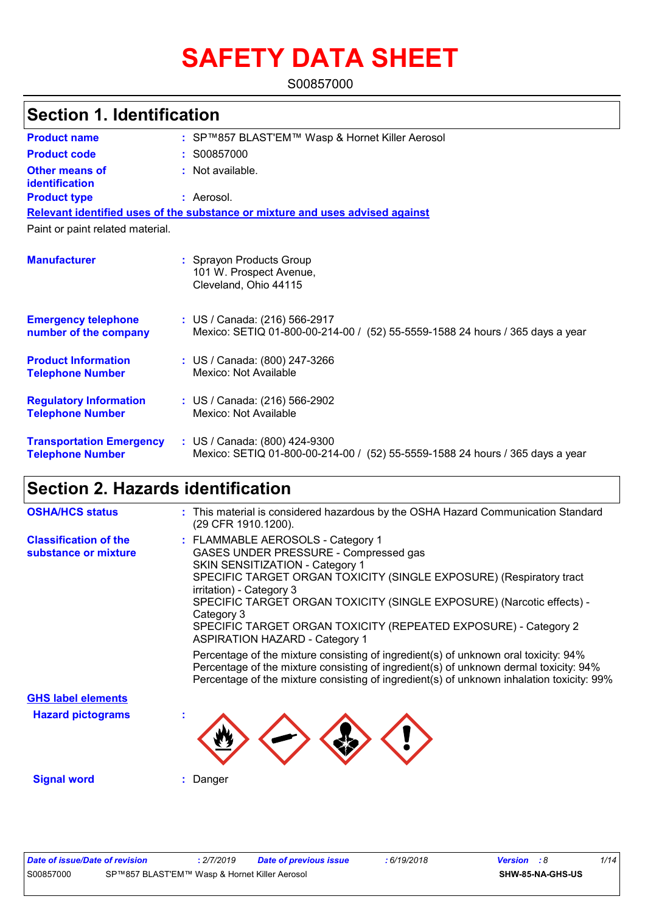# **SAFETY DATA SHEET**

S00857000

## **Section 1. Identification**

| <b>Product name</b>                                        | : SP™857 BLAST'EM™ Wasp & Hornet Killer Aerosol                                                                   |
|------------------------------------------------------------|-------------------------------------------------------------------------------------------------------------------|
| <b>Product code</b>                                        | : S00857000                                                                                                       |
| <b>Other means of</b><br>identification                    | : Not available.                                                                                                  |
| <b>Product type</b>                                        | : Aerosol.                                                                                                        |
|                                                            | Relevant identified uses of the substance or mixture and uses advised against                                     |
| Paint or paint related material.                           |                                                                                                                   |
| <b>Manufacturer</b>                                        | : Sprayon Products Group<br>101 W. Prospect Avenue,<br>Cleveland, Ohio 44115                                      |
| <b>Emergency telephone</b><br>number of the company        | : US / Canada: (216) 566-2917<br>Mexico: SETIQ 01-800-00-214-00 / (52) 55-5559-1588 24 hours / 365 days a year    |
| <b>Product Information</b><br><b>Telephone Number</b>      | : US / Canada: (800) 247-3266<br>Mexico: Not Available                                                            |
| <b>Regulatory Information</b><br><b>Telephone Number</b>   | : US / Canada: (216) 566-2902<br>Mexico: Not Available                                                            |
| <b>Transportation Emergency</b><br><b>Telephone Number</b> | : US / Canada: (800) 424-9300<br>Mexico: SETIQ 01-800-00-214-00 /<br>(52) 55-5559-1588 24 hours / 365 days a year |

## **Section 2. Hazards identification**

| <b>OSHA/HCS status</b>                               | : This material is considered hazardous by the OSHA Hazard Communication Standard<br>(29 CFR 1910.1200).                                                                                                                                                                                                                                                                                                                                                                                                   |
|------------------------------------------------------|------------------------------------------------------------------------------------------------------------------------------------------------------------------------------------------------------------------------------------------------------------------------------------------------------------------------------------------------------------------------------------------------------------------------------------------------------------------------------------------------------------|
| <b>Classification of the</b><br>substance or mixture | : FLAMMABLE AEROSOLS - Category 1<br>GASES UNDER PRESSURE - Compressed gas<br>SKIN SENSITIZATION - Category 1<br>SPECIFIC TARGET ORGAN TOXICITY (SINGLE EXPOSURE) (Respiratory tract<br>irritation) - Category 3<br>SPECIFIC TARGET ORGAN TOXICITY (SINGLE EXPOSURE) (Narcotic effects) -<br>Category 3<br>SPECIFIC TARGET ORGAN TOXICITY (REPEATED EXPOSURE) - Category 2<br><b>ASPIRATION HAZARD - Category 1</b><br>Percentage of the mixture consisting of ingredient(s) of unknown oral toxicity: 94% |
|                                                      | Percentage of the mixture consisting of ingredient(s) of unknown dermal toxicity: 94%<br>Percentage of the mixture consisting of ingredient(s) of unknown inhalation toxicity: 99%                                                                                                                                                                                                                                                                                                                         |
| <b>GHS label elements</b>                            |                                                                                                                                                                                                                                                                                                                                                                                                                                                                                                            |
| <b>Hazard pictograms</b>                             |                                                                                                                                                                                                                                                                                                                                                                                                                                                                                                            |
| <b>Signal word</b>                                   | Danger                                                                                                                                                                                                                                                                                                                                                                                                                                                                                                     |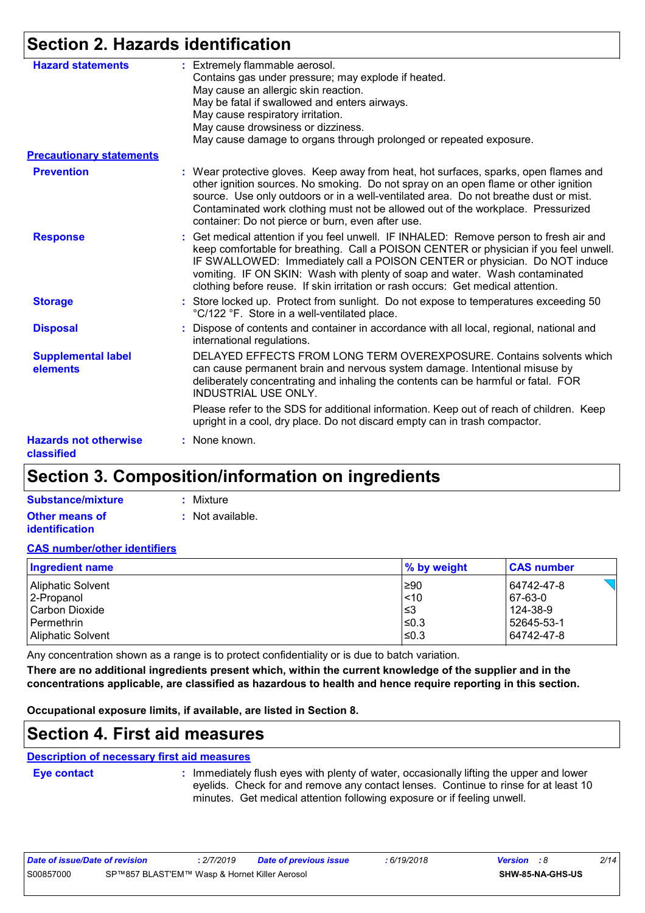## **Section 2. Hazards identification**

| <b>Hazard statements</b>                   | : Extremely flammable aerosol.<br>Contains gas under pressure; may explode if heated.<br>May cause an allergic skin reaction.<br>May be fatal if swallowed and enters airways.<br>May cause respiratory irritation.<br>May cause drowsiness or dizziness.<br>May cause damage to organs through prolonged or repeated exposure.                                                                                                  |
|--------------------------------------------|----------------------------------------------------------------------------------------------------------------------------------------------------------------------------------------------------------------------------------------------------------------------------------------------------------------------------------------------------------------------------------------------------------------------------------|
| <b>Precautionary statements</b>            |                                                                                                                                                                                                                                                                                                                                                                                                                                  |
| <b>Prevention</b>                          | : Wear protective gloves. Keep away from heat, hot surfaces, sparks, open flames and<br>other ignition sources. No smoking. Do not spray on an open flame or other ignition<br>source. Use only outdoors or in a well-ventilated area. Do not breathe dust or mist.<br>Contaminated work clothing must not be allowed out of the workplace. Pressurized<br>container: Do not pierce or burn, even after use.                     |
| <b>Response</b>                            | : Get medical attention if you feel unwell. IF INHALED: Remove person to fresh air and<br>keep comfortable for breathing. Call a POISON CENTER or physician if you feel unwell.<br>IF SWALLOWED: Immediately call a POISON CENTER or physician. Do NOT induce<br>vomiting. IF ON SKIN: Wash with plenty of soap and water. Wash contaminated<br>clothing before reuse. If skin irritation or rash occurs: Get medical attention. |
| <b>Storage</b>                             | : Store locked up. Protect from sunlight. Do not expose to temperatures exceeding 50<br>°C/122 °F. Store in a well-ventilated place.                                                                                                                                                                                                                                                                                             |
| <b>Disposal</b>                            | Dispose of contents and container in accordance with all local, regional, national and<br>international regulations.                                                                                                                                                                                                                                                                                                             |
| <b>Supplemental label</b><br>elements      | DELAYED EFFECTS FROM LONG TERM OVEREXPOSURE. Contains solvents which<br>can cause permanent brain and nervous system damage. Intentional misuse by<br>deliberately concentrating and inhaling the contents can be harmful or fatal. FOR<br><b>INDUSTRIAL USE ONLY.</b>                                                                                                                                                           |
|                                            | Please refer to the SDS for additional information. Keep out of reach of children. Keep<br>upright in a cool, dry place. Do not discard empty can in trash compactor.                                                                                                                                                                                                                                                            |
| <b>Hazards not otherwise</b><br>classified | : None known.                                                                                                                                                                                                                                                                                                                                                                                                                    |

## **Section 3. Composition/information on ingredients**

| Substance/mixture     | : Mixture        |
|-----------------------|------------------|
| Other means of        | : Not available. |
| <b>identification</b> |                  |

#### **CAS number/other identifiers**

| Ingredient name   | % by weight | <b>CAS number</b> |
|-------------------|-------------|-------------------|
| Aliphatic Solvent | $\geq 90$   | 64742-47-8        |
| 2-Propanol        | $\leq 10$   | 67-63-0           |
| l Carbon Dioxide  | ∣≤3         | 124-38-9          |
| l Permethrin      | $≤0.3$      | 52645-53-1        |
| Aliphatic Solvent | I≤0.3       | 64742-47-8        |

Any concentration shown as a range is to protect confidentiality or is due to batch variation.

**There are no additional ingredients present which, within the current knowledge of the supplier and in the concentrations applicable, are classified as hazardous to health and hence require reporting in this section.**

**Occupational exposure limits, if available, are listed in Section 8.**

### **Section 4. First aid measures**

#### **Description of necessary first aid measures**

**Eye contact :**

: Immediately flush eyes with plenty of water, occasionally lifting the upper and lower eyelids. Check for and remove any contact lenses. Continue to rinse for at least 10 minutes. Get medical attention following exposure or if feeling unwell.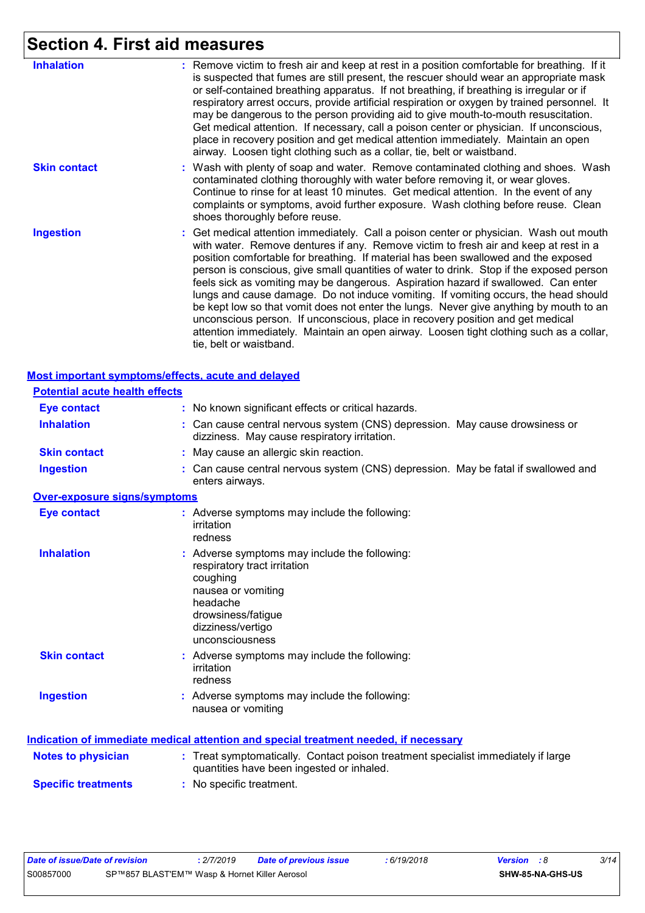## **Section 4. First aid measures**

| <b>Inhalation</b>   | : Remove victim to fresh air and keep at rest in a position comfortable for breathing. If it<br>is suspected that fumes are still present, the rescuer should wear an appropriate mask<br>or self-contained breathing apparatus. If not breathing, if breathing is irregular or if<br>respiratory arrest occurs, provide artificial respiration or oxygen by trained personnel. It<br>may be dangerous to the person providing aid to give mouth-to-mouth resuscitation.<br>Get medical attention. If necessary, call a poison center or physician. If unconscious,<br>place in recovery position and get medical attention immediately. Maintain an open<br>airway. Loosen tight clothing such as a collar, tie, belt or waistband.                                                                                                            |
|---------------------|-------------------------------------------------------------------------------------------------------------------------------------------------------------------------------------------------------------------------------------------------------------------------------------------------------------------------------------------------------------------------------------------------------------------------------------------------------------------------------------------------------------------------------------------------------------------------------------------------------------------------------------------------------------------------------------------------------------------------------------------------------------------------------------------------------------------------------------------------|
| <b>Skin contact</b> | : Wash with plenty of soap and water. Remove contaminated clothing and shoes. Wash<br>contaminated clothing thoroughly with water before removing it, or wear gloves.<br>Continue to rinse for at least 10 minutes. Get medical attention. In the event of any<br>complaints or symptoms, avoid further exposure. Wash clothing before reuse. Clean<br>shoes thoroughly before reuse.                                                                                                                                                                                                                                                                                                                                                                                                                                                           |
| <b>Ingestion</b>    | : Get medical attention immediately. Call a poison center or physician. Wash out mouth<br>with water. Remove dentures if any. Remove victim to fresh air and keep at rest in a<br>position comfortable for breathing. If material has been swallowed and the exposed<br>person is conscious, give small quantities of water to drink. Stop if the exposed person<br>feels sick as vomiting may be dangerous. Aspiration hazard if swallowed. Can enter<br>lungs and cause damage. Do not induce vomiting. If vomiting occurs, the head should<br>be kept low so that vomit does not enter the lungs. Never give anything by mouth to an<br>unconscious person. If unconscious, place in recovery position and get medical<br>attention immediately. Maintain an open airway. Loosen tight clothing such as a collar,<br>tie, belt or waistband. |

|                                       | Most important symptoms/effects, acute and delayed                                                                                                                                        |
|---------------------------------------|-------------------------------------------------------------------------------------------------------------------------------------------------------------------------------------------|
| <b>Potential acute health effects</b> |                                                                                                                                                                                           |
| <b>Eye contact</b>                    | : No known significant effects or critical hazards.                                                                                                                                       |
| <b>Inhalation</b>                     | : Can cause central nervous system (CNS) depression. May cause drowsiness or<br>dizziness. May cause respiratory irritation.                                                              |
| <b>Skin contact</b>                   | : May cause an allergic skin reaction.                                                                                                                                                    |
| <b>Ingestion</b>                      | : Can cause central nervous system (CNS) depression. May be fatal if swallowed and<br>enters airways.                                                                                     |
| <b>Over-exposure signs/symptoms</b>   |                                                                                                                                                                                           |
| <b>Eye contact</b>                    | : Adverse symptoms may include the following:<br>irritation<br>redness                                                                                                                    |
| <b>Inhalation</b>                     | : Adverse symptoms may include the following:<br>respiratory tract irritation<br>coughing<br>nausea or vomiting<br>headache<br>drowsiness/fatigue<br>dizziness/vertigo<br>unconsciousness |
| <b>Skin contact</b>                   | : Adverse symptoms may include the following:<br>irritation<br>redness                                                                                                                    |
| <b>Ingestion</b>                      | : Adverse symptoms may include the following:<br>nausea or vomiting                                                                                                                       |
|                                       | Indication of immediate medical attention and special treatment needed, if necessary                                                                                                      |
| <b>Notes to physician</b>             | : Treat symptomatically. Contact poison treatment specialist immediately if large<br>quantities have been ingested or inhaled.                                                            |
| <b>Specific treatments</b>            | : No specific treatment.                                                                                                                                                                  |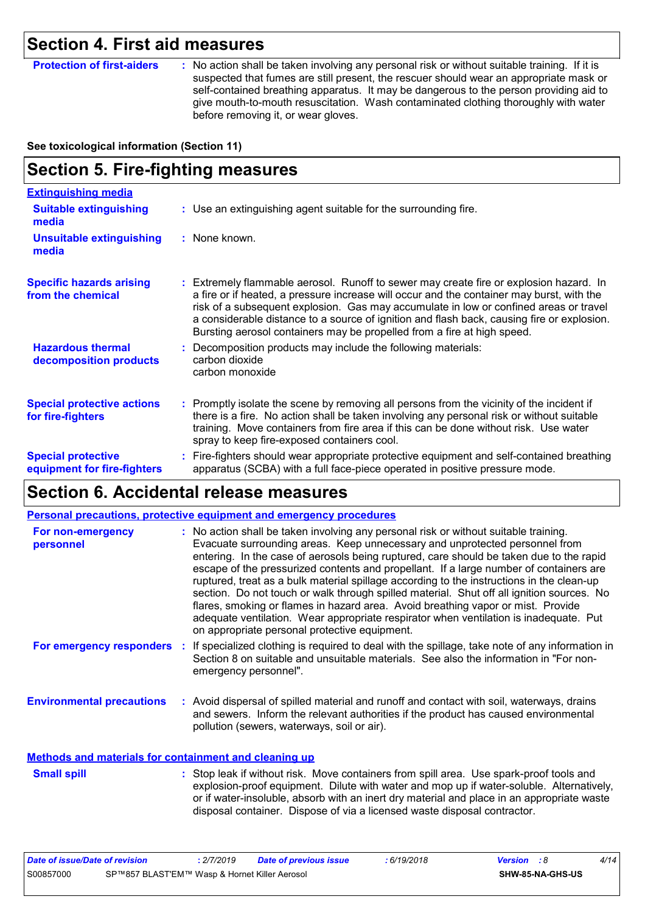## **Section 4. First aid measures**

**Protection of first-aiders** : No action shall be taken involving any personal risk or without suitable training. If it is suspected that fumes are still present, the rescuer should wear an appropriate mask or self-contained breathing apparatus. It may be dangerous to the person providing aid to give mouth-to-mouth resuscitation. Wash contaminated clothing thoroughly with water before removing it, or wear gloves.

**See toxicological information (Section 11)**

## **Section 5. Fire-fighting measures**

| <b>Extinguishing media</b>                               |                                                                                                                                                                                                                                                                                                                                                                                                                                                     |
|----------------------------------------------------------|-----------------------------------------------------------------------------------------------------------------------------------------------------------------------------------------------------------------------------------------------------------------------------------------------------------------------------------------------------------------------------------------------------------------------------------------------------|
| <b>Suitable extinguishing</b><br>media                   | : Use an extinguishing agent suitable for the surrounding fire.                                                                                                                                                                                                                                                                                                                                                                                     |
| <b>Unsuitable extinguishing</b><br>media                 | : None known.                                                                                                                                                                                                                                                                                                                                                                                                                                       |
| <b>Specific hazards arising</b><br>from the chemical     | Extremely flammable aerosol. Runoff to sewer may create fire or explosion hazard. In<br>a fire or if heated, a pressure increase will occur and the container may burst, with the<br>risk of a subsequent explosion. Gas may accumulate in low or confined areas or travel<br>a considerable distance to a source of ignition and flash back, causing fire or explosion.<br>Bursting aerosol containers may be propelled from a fire at high speed. |
| <b>Hazardous thermal</b><br>decomposition products       | Decomposition products may include the following materials:<br>carbon dioxide<br>carbon monoxide                                                                                                                                                                                                                                                                                                                                                    |
| <b>Special protective actions</b><br>for fire-fighters   | : Promptly isolate the scene by removing all persons from the vicinity of the incident if<br>there is a fire. No action shall be taken involving any personal risk or without suitable<br>training. Move containers from fire area if this can be done without risk. Use water<br>spray to keep fire-exposed containers cool.                                                                                                                       |
| <b>Special protective</b><br>equipment for fire-fighters | Fire-fighters should wear appropriate protective equipment and self-contained breathing<br>apparatus (SCBA) with a full face-piece operated in positive pressure mode.                                                                                                                                                                                                                                                                              |

### **Section 6. Accidental release measures**

|                                                       | <b>Personal precautions, protective equipment and emergency procedures</b>                                                                                                                                                                                                                                                                                                                                                                                                                                                                                                                                                                                                                                                                                                       |
|-------------------------------------------------------|----------------------------------------------------------------------------------------------------------------------------------------------------------------------------------------------------------------------------------------------------------------------------------------------------------------------------------------------------------------------------------------------------------------------------------------------------------------------------------------------------------------------------------------------------------------------------------------------------------------------------------------------------------------------------------------------------------------------------------------------------------------------------------|
| For non-emergency<br>personnel                        | : No action shall be taken involving any personal risk or without suitable training.<br>Evacuate surrounding areas. Keep unnecessary and unprotected personnel from<br>entering. In the case of aerosols being ruptured, care should be taken due to the rapid<br>escape of the pressurized contents and propellant. If a large number of containers are<br>ruptured, treat as a bulk material spillage according to the instructions in the clean-up<br>section. Do not touch or walk through spilled material. Shut off all ignition sources. No<br>flares, smoking or flames in hazard area. Avoid breathing vapor or mist. Provide<br>adequate ventilation. Wear appropriate respirator when ventilation is inadequate. Put<br>on appropriate personal protective equipment. |
| For emergency responders                              | : If specialized clothing is required to deal with the spillage, take note of any information in<br>Section 8 on suitable and unsuitable materials. See also the information in "For non-<br>emergency personnel".                                                                                                                                                                                                                                                                                                                                                                                                                                                                                                                                                               |
| <b>Environmental precautions</b>                      | : Avoid dispersal of spilled material and runoff and contact with soil, waterways, drains<br>and sewers. Inform the relevant authorities if the product has caused environmental<br>pollution (sewers, waterways, soil or air).                                                                                                                                                                                                                                                                                                                                                                                                                                                                                                                                                  |
| Methods and materials for containment and cleaning up |                                                                                                                                                                                                                                                                                                                                                                                                                                                                                                                                                                                                                                                                                                                                                                                  |

Stop leak if without risk. Move containers from spill area. Use spark-proof tools and explosion-proof equipment. Dilute with water and mop up if water-soluble. Alternatively, or if water-insoluble, absorb with an inert dry material and place in an appropriate waste disposal container. Dispose of via a licensed waste disposal contractor. **Small spill :**

| Date of issue/Date of revision                             |  | 2/7/2019 | Date of previous issue | : 6/19/2018 | <b>Version</b> : 8 |                  | 4/14 |
|------------------------------------------------------------|--|----------|------------------------|-------------|--------------------|------------------|------|
| S00857000<br>SP™857 BLAST'EM™ Wasp & Hornet Killer Aerosol |  |          |                        |             |                    | SHW-85-NA-GHS-US |      |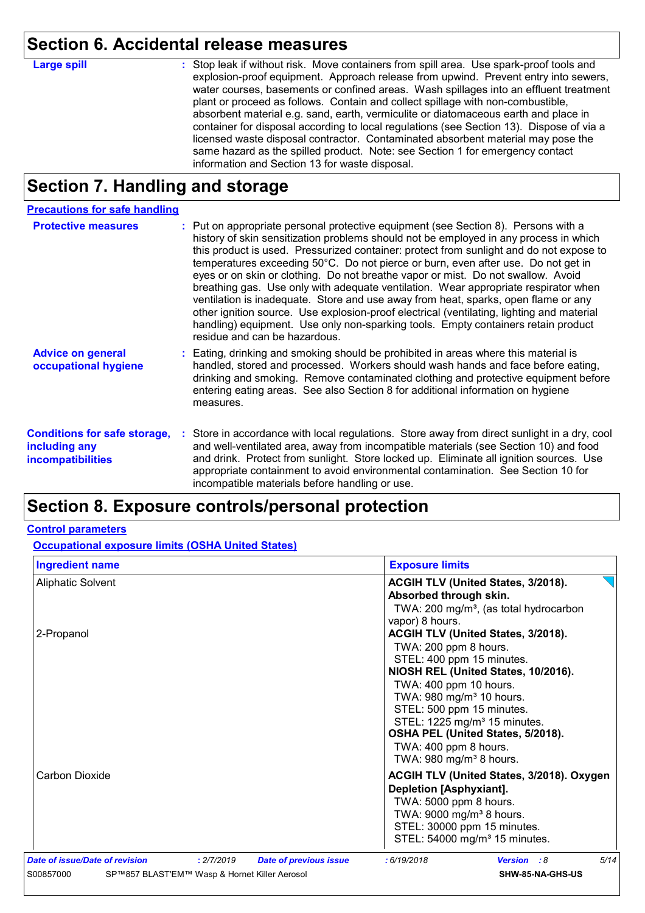## **Section 6. Accidental release measures**

**Large spill :**

: Stop leak if without risk. Move containers from spill area. Use spark-proof tools and explosion-proof equipment. Approach release from upwind. Prevent entry into sewers, water courses, basements or confined areas. Wash spillages into an effluent treatment plant or proceed as follows. Contain and collect spillage with non-combustible, absorbent material e.g. sand, earth, vermiculite or diatomaceous earth and place in container for disposal according to local regulations (see Section 13). Dispose of via a licensed waste disposal contractor. Contaminated absorbent material may pose the same hazard as the spilled product. Note: see Section 1 for emergency contact information and Section 13 for waste disposal.

## **Section 7. Handling and storage**

| <b>Precautions for safe handling</b>                                             |                                                                                                                                                                                                                                                                                                                                                                                                                                                                                                                                                                                                                                                                                                                                                                                                                                                 |
|----------------------------------------------------------------------------------|-------------------------------------------------------------------------------------------------------------------------------------------------------------------------------------------------------------------------------------------------------------------------------------------------------------------------------------------------------------------------------------------------------------------------------------------------------------------------------------------------------------------------------------------------------------------------------------------------------------------------------------------------------------------------------------------------------------------------------------------------------------------------------------------------------------------------------------------------|
| <b>Protective measures</b>                                                       | : Put on appropriate personal protective equipment (see Section 8). Persons with a<br>history of skin sensitization problems should not be employed in any process in which<br>this product is used. Pressurized container: protect from sunlight and do not expose to<br>temperatures exceeding 50°C. Do not pierce or burn, even after use. Do not get in<br>eyes or on skin or clothing. Do not breathe vapor or mist. Do not swallow. Avoid<br>breathing gas. Use only with adequate ventilation. Wear appropriate respirator when<br>ventilation is inadequate. Store and use away from heat, sparks, open flame or any<br>other ignition source. Use explosion-proof electrical (ventilating, lighting and material<br>handling) equipment. Use only non-sparking tools. Empty containers retain product<br>residue and can be hazardous. |
| <b>Advice on general</b><br>occupational hygiene                                 | : Eating, drinking and smoking should be prohibited in areas where this material is<br>handled, stored and processed. Workers should wash hands and face before eating,<br>drinking and smoking. Remove contaminated clothing and protective equipment before<br>entering eating areas. See also Section 8 for additional information on hygiene<br>measures.                                                                                                                                                                                                                                                                                                                                                                                                                                                                                   |
| <b>Conditions for safe storage,</b><br>including any<br><b>incompatibilities</b> | Store in accordance with local regulations. Store away from direct sunlight in a dry, cool<br>and well-ventilated area, away from incompatible materials (see Section 10) and food<br>and drink. Protect from sunlight. Store locked up. Eliminate all ignition sources. Use<br>appropriate containment to avoid environmental contamination. See Section 10 for<br>incompatible materials before handling or use.                                                                                                                                                                                                                                                                                                                                                                                                                              |

## **Section 8. Exposure controls/personal protection**

#### **Control parameters**

**Occupational exposure limits (OSHA United States)**

| <b>Ingredient name</b>         |                                               | <b>Exposure limits</b>        |                                                                                                                                                                                                                                                                                                                                                                                   |                                                                                          |      |
|--------------------------------|-----------------------------------------------|-------------------------------|-----------------------------------------------------------------------------------------------------------------------------------------------------------------------------------------------------------------------------------------------------------------------------------------------------------------------------------------------------------------------------------|------------------------------------------------------------------------------------------|------|
| <b>Aliphatic Solvent</b>       |                                               |                               | Absorbed through skin.<br>vapor) 8 hours.                                                                                                                                                                                                                                                                                                                                         | ACGIH TLV (United States, 3/2018).<br>TWA: 200 mg/m <sup>3</sup> , (as total hydrocarbon |      |
| 2-Propanol                     |                                               |                               | ACGIH TLV (United States, 3/2018).<br>TWA: 200 ppm 8 hours.<br>STEL: 400 ppm 15 minutes.<br>NIOSH REL (United States, 10/2016).<br>TWA: 400 ppm 10 hours.<br>TWA: 980 mg/m <sup>3</sup> 10 hours.<br>STEL: 500 ppm 15 minutes.<br>STEL: 1225 mg/m <sup>3</sup> 15 minutes.<br>OSHA PEL (United States, 5/2018).<br>TWA: 400 ppm 8 hours.<br>TWA: $980$ mg/m <sup>3</sup> 8 hours. |                                                                                          |      |
| Carbon Dioxide                 |                                               |                               | <b>Depletion [Asphyxiant].</b><br>TWA: 5000 ppm 8 hours.<br>TWA: 9000 mg/m <sup>3</sup> 8 hours.<br>STEL: 30000 ppm 15 minutes.                                                                                                                                                                                                                                                   | ACGIH TLV (United States, 3/2018). Oxygen<br>STEL: 54000 mg/m <sup>3</sup> 15 minutes.   |      |
| Date of issue/Date of revision | : 2/7/2019                                    | <b>Date of previous issue</b> | : 6/19/2018                                                                                                                                                                                                                                                                                                                                                                       | <b>Version</b> : 8                                                                       | 5/14 |
| S00857000                      | SP™857 BLAST'EM™ Wasp & Hornet Killer Aerosol | SHW-85-NA-GHS-US              |                                                                                                                                                                                                                                                                                                                                                                                   |                                                                                          |      |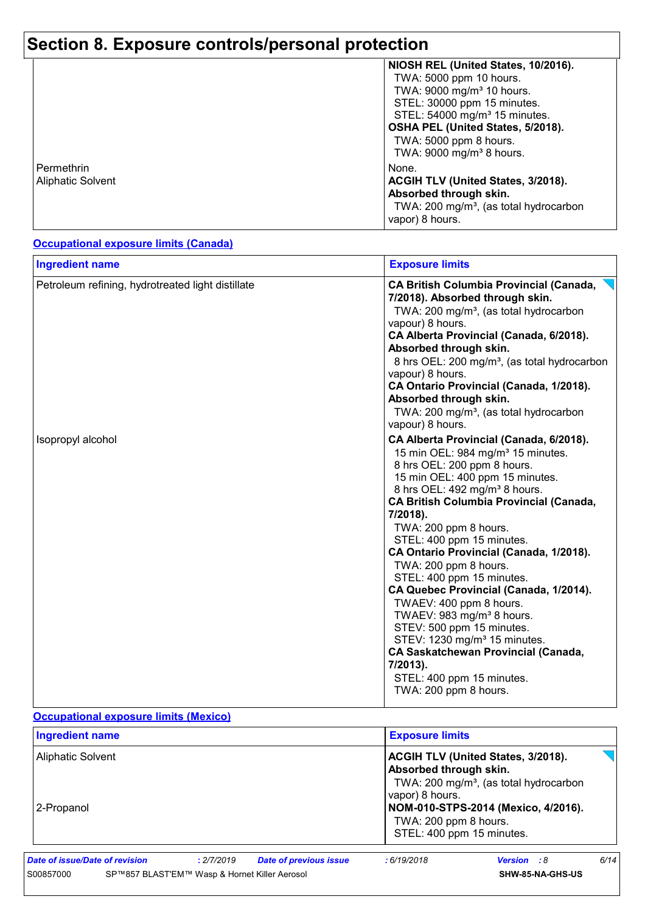## **Section 8. Exposure controls/personal protection**

|                          | NIOSH REL (United States, 10/2016).                |
|--------------------------|----------------------------------------------------|
|                          | TWA: 5000 ppm 10 hours.                            |
|                          | TWA: 9000 mg/m <sup>3</sup> 10 hours.              |
|                          | STEL: 30000 ppm 15 minutes.                        |
|                          | STEL: 54000 mg/m <sup>3</sup> 15 minutes.          |
|                          | OSHA PEL (United States, 5/2018).                  |
|                          | TWA: 5000 ppm 8 hours.                             |
|                          | TWA: 9000 mg/m <sup>3</sup> 8 hours.               |
| Permethrin               | None.                                              |
| <b>Aliphatic Solvent</b> | ACGIH TLV (United States, 3/2018).                 |
|                          | Absorbed through skin.                             |
|                          | TWA: 200 mg/m <sup>3</sup> , (as total hydrocarbon |
|                          | vapor) 8 hours.                                    |
|                          |                                                    |

#### **Occupational exposure limits (Canada)**

| <b>Ingredient name</b>                            | <b>Exposure limits</b>                                                                                                                                                                                                                                                                                                                                                                                                                                                                                                                                                                                                                                                                                                              |
|---------------------------------------------------|-------------------------------------------------------------------------------------------------------------------------------------------------------------------------------------------------------------------------------------------------------------------------------------------------------------------------------------------------------------------------------------------------------------------------------------------------------------------------------------------------------------------------------------------------------------------------------------------------------------------------------------------------------------------------------------------------------------------------------------|
| Petroleum refining, hydrotreated light distillate | <b>CA British Columbia Provincial (Canada,</b><br>7/2018). Absorbed through skin.<br>TWA: 200 mg/m <sup>3</sup> , (as total hydrocarbon<br>vapour) 8 hours.<br>CA Alberta Provincial (Canada, 6/2018).<br>Absorbed through skin.<br>8 hrs OEL: 200 mg/m <sup>3</sup> , (as total hydrocarbon<br>vapour) 8 hours.<br>CA Ontario Provincial (Canada, 1/2018).<br>Absorbed through skin.<br>TWA: 200 mg/m <sup>3</sup> , (as total hydrocarbon<br>vapour) 8 hours.                                                                                                                                                                                                                                                                     |
| Isopropyl alcohol                                 | CA Alberta Provincial (Canada, 6/2018).<br>15 min OEL: 984 mg/m <sup>3</sup> 15 minutes.<br>8 hrs OEL: 200 ppm 8 hours.<br>15 min OEL: 400 ppm 15 minutes.<br>8 hrs OEL: 492 mg/m <sup>3</sup> 8 hours.<br><b>CA British Columbia Provincial (Canada,</b><br>7/2018).<br>TWA: 200 ppm 8 hours.<br>STEL: 400 ppm 15 minutes.<br>CA Ontario Provincial (Canada, 1/2018).<br>TWA: 200 ppm 8 hours.<br>STEL: 400 ppm 15 minutes.<br>CA Quebec Provincial (Canada, 1/2014).<br>TWAEV: 400 ppm 8 hours.<br>TWAEV: 983 mg/m <sup>3</sup> 8 hours.<br>STEV: 500 ppm 15 minutes.<br>STEV: 1230 mg/m <sup>3</sup> 15 minutes.<br><b>CA Saskatchewan Provincial (Canada,</b><br>7/2013).<br>STEL: 400 ppm 15 minutes.<br>TWA: 200 ppm 8 hours. |

#### **Occupational exposure limits (Mexico)**

| <b>Exposure limits</b>                                                                                                    |
|---------------------------------------------------------------------------------------------------------------------------|
| <b>ACGIH TLV (United States, 3/2018).</b><br>Absorbed through skin.<br>TWA: 200 mg/m <sup>3</sup> , (as total hydrocarbon |
| vapor) 8 hours.<br>NOM-010-STPS-2014 (Mexico, 4/2016).<br>TWA: 200 ppm 8 hours.<br>STEL: 400 ppm 15 minutes.              |
|                                                                                                                           |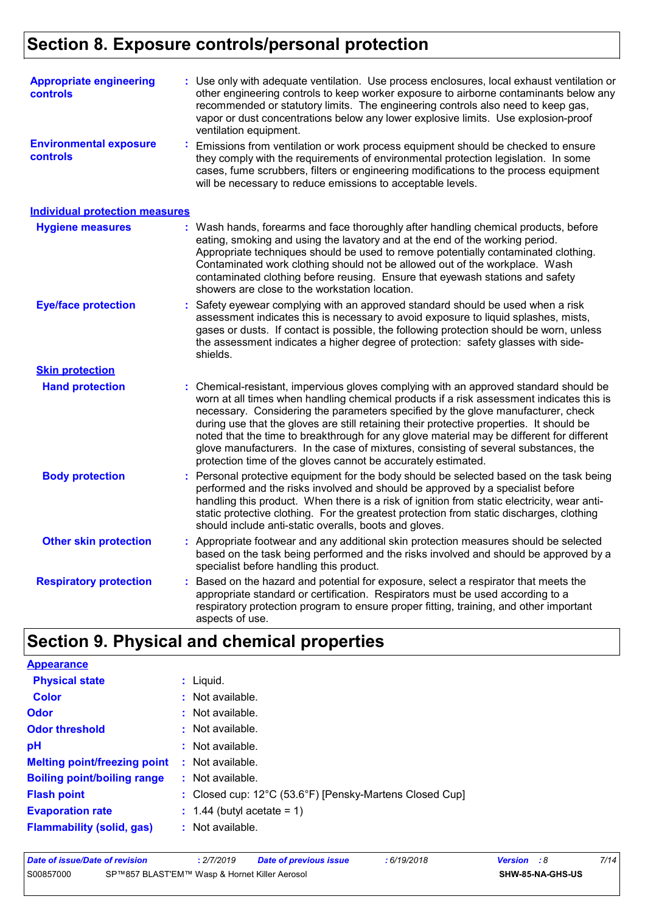## **Section 8. Exposure controls/personal protection**

| <b>Appropriate engineering</b><br>controls |                                                                                                                                                                                                                                                                                                                               | : Use only with adequate ventilation. Use process enclosures, local exhaust ventilation or<br>other engineering controls to keep worker exposure to airborne contaminants below any<br>recommended or statutory limits. The engineering controls also need to keep gas,<br>vapor or dust concentrations below any lower explosive limits. Use explosion-proof<br>ventilation equipment.                                                                                                                                                                                                                                |
|--------------------------------------------|-------------------------------------------------------------------------------------------------------------------------------------------------------------------------------------------------------------------------------------------------------------------------------------------------------------------------------|------------------------------------------------------------------------------------------------------------------------------------------------------------------------------------------------------------------------------------------------------------------------------------------------------------------------------------------------------------------------------------------------------------------------------------------------------------------------------------------------------------------------------------------------------------------------------------------------------------------------|
| <b>Environmental exposure</b><br>controls  | Emissions from ventilation or work process equipment should be checked to ensure<br>they comply with the requirements of environmental protection legislation. In some<br>cases, fume scrubbers, filters or engineering modifications to the process equipment<br>will be necessary to reduce emissions to acceptable levels. |                                                                                                                                                                                                                                                                                                                                                                                                                                                                                                                                                                                                                        |
| <b>Individual protection measures</b>      |                                                                                                                                                                                                                                                                                                                               |                                                                                                                                                                                                                                                                                                                                                                                                                                                                                                                                                                                                                        |
| <b>Hygiene measures</b>                    |                                                                                                                                                                                                                                                                                                                               | : Wash hands, forearms and face thoroughly after handling chemical products, before<br>eating, smoking and using the lavatory and at the end of the working period.<br>Appropriate techniques should be used to remove potentially contaminated clothing.<br>Contaminated work clothing should not be allowed out of the workplace. Wash<br>contaminated clothing before reusing. Ensure that eyewash stations and safety<br>showers are close to the workstation location.                                                                                                                                            |
| <b>Eye/face protection</b>                 | ÷.                                                                                                                                                                                                                                                                                                                            | Safety eyewear complying with an approved standard should be used when a risk<br>assessment indicates this is necessary to avoid exposure to liquid splashes, mists,<br>gases or dusts. If contact is possible, the following protection should be worn, unless<br>the assessment indicates a higher degree of protection: safety glasses with side-<br>shields.                                                                                                                                                                                                                                                       |
| <b>Skin protection</b>                     |                                                                                                                                                                                                                                                                                                                               |                                                                                                                                                                                                                                                                                                                                                                                                                                                                                                                                                                                                                        |
| <b>Hand protection</b>                     |                                                                                                                                                                                                                                                                                                                               | : Chemical-resistant, impervious gloves complying with an approved standard should be<br>worn at all times when handling chemical products if a risk assessment indicates this is<br>necessary. Considering the parameters specified by the glove manufacturer, check<br>during use that the gloves are still retaining their protective properties. It should be<br>noted that the time to breakthrough for any glove material may be different for different<br>glove manufacturers. In the case of mixtures, consisting of several substances, the<br>protection time of the gloves cannot be accurately estimated. |
| <b>Body protection</b>                     |                                                                                                                                                                                                                                                                                                                               | Personal protective equipment for the body should be selected based on the task being<br>performed and the risks involved and should be approved by a specialist before<br>handling this product. When there is a risk of ignition from static electricity, wear anti-<br>static protective clothing. For the greatest protection from static discharges, clothing<br>should include anti-static overalls, boots and gloves.                                                                                                                                                                                           |
| <b>Other skin protection</b>               |                                                                                                                                                                                                                                                                                                                               | : Appropriate footwear and any additional skin protection measures should be selected<br>based on the task being performed and the risks involved and should be approved by a<br>specialist before handling this product.                                                                                                                                                                                                                                                                                                                                                                                              |
| <b>Respiratory protection</b>              | ÷.                                                                                                                                                                                                                                                                                                                            | Based on the hazard and potential for exposure, select a respirator that meets the<br>appropriate standard or certification. Respirators must be used according to a<br>respiratory protection program to ensure proper fitting, training, and other important<br>aspects of use.                                                                                                                                                                                                                                                                                                                                      |

## **Section 9. Physical and chemical properties**

| <b>Appearance</b>                   |                                                                              |
|-------------------------------------|------------------------------------------------------------------------------|
| <b>Physical state</b>               | $:$ Liquid.                                                                  |
| <b>Color</b>                        | $:$ Not available.                                                           |
| <b>Odor</b>                         | : Not available.                                                             |
| <b>Odor threshold</b>               | $\cdot$ Not available.                                                       |
| pH                                  | : Not available.                                                             |
| <b>Melting point/freezing point</b> | : Not available.                                                             |
| <b>Boiling point/boiling range</b>  | : Not available.                                                             |
| <b>Flash point</b>                  | : Closed cup: $12^{\circ}$ C (53.6 $^{\circ}$ F) [Pensky-Martens Closed Cup] |
| <b>Evaporation rate</b>             | $: 1.44$ (butyl acetate = 1)                                                 |
| <b>Flammability (solid, gas)</b>    | : Not available.                                                             |

| Date of issue/Date of revision                             |  | 2/7/2019 | <b>Date of previous issue</b> | : 6/19/2018 | <b>Version</b> : 8 |  | 7/14 |
|------------------------------------------------------------|--|----------|-------------------------------|-------------|--------------------|--|------|
| SP™857 BLAST'EM™ Wasp & Hornet Killer Aerosol<br>S00857000 |  |          |                               |             | SHW-85-NA-GHS-US   |  |      |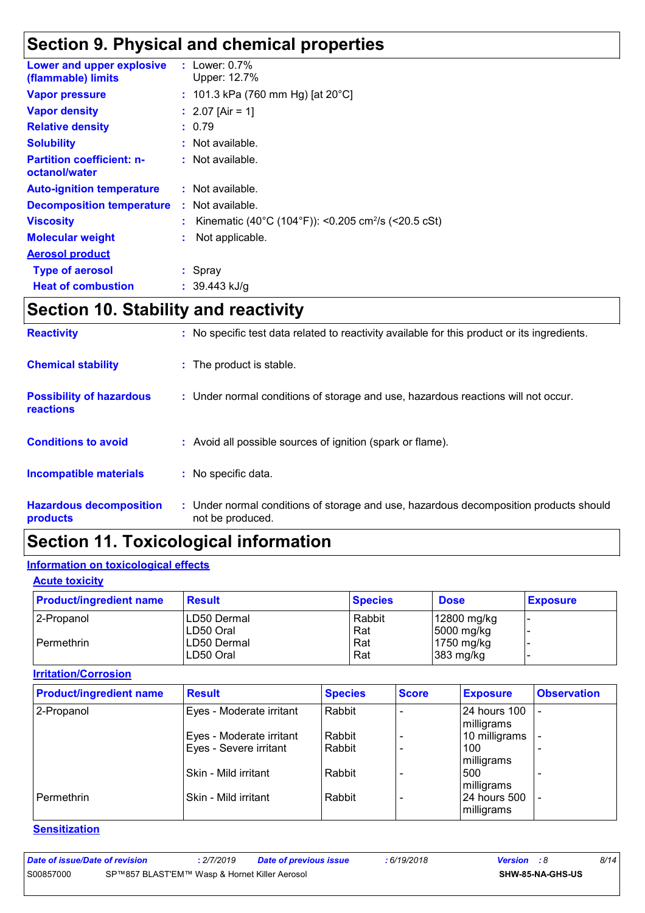## **Section 9. Physical and chemical properties**

| Lower and upper explosive<br>(flammable) limits   |    | : Lower: $0.7\%$<br>Upper: 12.7%                                |
|---------------------------------------------------|----|-----------------------------------------------------------------|
| Vapor pressure                                    |    | : 101.3 kPa (760 mm Hg) [at $20^{\circ}$ C]                     |
| <b>Vapor density</b>                              |    | : $2.07$ [Air = 1]                                              |
| <b>Relative density</b>                           |    | : 0.79                                                          |
| <b>Solubility</b>                                 |    | : Not available.                                                |
| <b>Partition coefficient: n-</b><br>octanol/water |    | : Not available.                                                |
| <b>Auto-ignition temperature</b>                  |    | $:$ Not available.                                              |
| <b>Decomposition temperature</b>                  |    | : Not available.                                                |
| <b>Viscosity</b>                                  |    | Kinematic (40°C (104°F)): <0.205 cm <sup>2</sup> /s (<20.5 cSt) |
| <b>Molecular weight</b>                           | ÷. | Not applicable.                                                 |
| <b>Aerosol product</b>                            |    |                                                                 |
| <b>Type of aerosol</b>                            |    | $:$ Spray                                                       |
| <b>Heat of combustion</b>                         |    | : 39.443 kJ/q                                                   |

## **Section 10. Stability and reactivity**

| <b>Reactivity</b>                            | : No specific test data related to reactivity available for this product or its ingredients.              |
|----------------------------------------------|-----------------------------------------------------------------------------------------------------------|
| <b>Chemical stability</b>                    | : The product is stable.                                                                                  |
| <b>Possibility of hazardous</b><br>reactions | : Under normal conditions of storage and use, hazardous reactions will not occur.                         |
| <b>Conditions to avoid</b>                   | : Avoid all possible sources of ignition (spark or flame).                                                |
| <b>Incompatible materials</b>                | : No specific data.                                                                                       |
| <b>Hazardous decomposition</b><br>products   | : Under normal conditions of storage and use, hazardous decomposition products should<br>not be produced. |

## **Section 11. Toxicological information**

#### **Information on toxicological effects**

#### **Acute toxicity**

| <b>Product/ingredient name</b> | <b>Result</b> | <b>Species</b> | <b>Dose</b> | <b>Exposure</b> |
|--------------------------------|---------------|----------------|-------------|-----------------|
| 2-Propanol                     | LD50 Dermal   | Rabbit         | 12800 mg/kg |                 |
|                                | ILD50 Oral    | Rat            | 5000 mg/kg  |                 |
| Permethrin                     | LD50 Dermal   | Rat            | 1750 mg/kg  |                 |
|                                | LD50 Oral     | Rat            | 383 mg/kg   |                 |

#### **Irritation/Corrosion**

| <b>Product/ingredient name</b> | <b>Result</b>            | <b>Species</b> | <b>Score</b> | <b>Exposure</b>                   | <b>Observation</b>       |
|--------------------------------|--------------------------|----------------|--------------|-----------------------------------|--------------------------|
| 2-Propanol                     | Eyes - Moderate irritant | Rabbit         |              | <b>24 hours 100</b><br>milligrams |                          |
|                                | Eyes - Moderate irritant | Rabbit         |              | 10 milligrams                     |                          |
|                                | Eyes - Severe irritant   | Rabbit         |              | 100<br>milligrams                 |                          |
|                                | Skin - Mild irritant     | Rabbit         |              | 500<br>milligrams                 |                          |
| Permethrin                     | Skin - Mild irritant     | Rabbit         |              | 24 hours 500<br>milligrams        | $\overline{\phantom{0}}$ |

#### **Sensitization**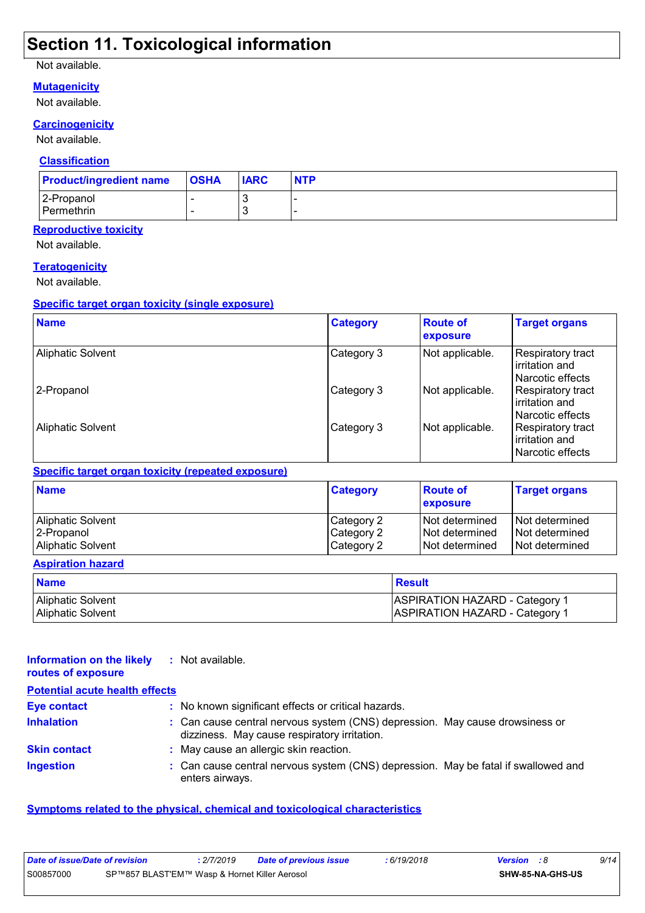## **Section 11. Toxicological information**

#### Not available.

#### **Mutagenicity**

Not available.

#### **Carcinogenicity**

Not available.

#### **Classification**

| <b>Product/ingredient name</b> | <b>OSHA</b> | <b>IARC</b> | <b>NTP</b> |
|--------------------------------|-------------|-------------|------------|
| 2-Propanol                     |             |             | -          |
| Permethrin                     |             |             | -          |

#### **Reproductive toxicity**

Not available.

#### **Teratogenicity**

Not available.

#### **Specific target organ toxicity (single exposure)**

| <b>Name</b>              | <b>Category</b> | <b>Route of</b><br>exposure | <b>Target organs</b>                                      |
|--------------------------|-----------------|-----------------------------|-----------------------------------------------------------|
| <b>Aliphatic Solvent</b> | Category 3      | Not applicable.             | Respiratory tract<br>irritation and<br>l Narcotic effects |
| 2-Propanol               | Category 3      | Not applicable.             | Respiratory tract<br>irritation and<br>Narcotic effects   |
| <b>Aliphatic Solvent</b> | Category 3      | Not applicable.             | Respiratory tract<br>irritation and<br>Narcotic effects   |

#### **Specific target organ toxicity (repeated exposure)**

| <b>Name</b>       | <b>Category</b> | <b>Route of</b><br>exposure | <b>Target organs</b> |
|-------------------|-----------------|-----------------------------|----------------------|
| Aliphatic Solvent | Category 2      | <b>Not determined</b>       | I Not determined     |
| 2-Propanol        | Category 2      | INot determined             | l Not determined     |
| Aliphatic Solvent | Category 2      | INot determined             | Not determined       |

#### **Aspiration hazard**

| <b>Name</b>       | <b>Result</b>                         |
|-------------------|---------------------------------------|
| Aliphatic Solvent | <b>ASPIRATION HAZARD - Category 1</b> |
| Aliphatic Solvent | ASPIRATION HAZARD - Category 1        |

| Information on the likely<br>routes of exposure | : Not available.                                                                                                             |  |
|-------------------------------------------------|------------------------------------------------------------------------------------------------------------------------------|--|
| <b>Potential acute health effects</b>           |                                                                                                                              |  |
| <b>Eye contact</b>                              | : No known significant effects or critical hazards.                                                                          |  |
| <b>Inhalation</b>                               | : Can cause central nervous system (CNS) depression. May cause drowsiness or<br>dizziness. May cause respiratory irritation. |  |
| <b>Skin contact</b>                             | : May cause an allergic skin reaction.                                                                                       |  |
| <b>Ingestion</b>                                | : Can cause central nervous system (CNS) depression. May be fatal if swallowed and<br>enters airways.                        |  |

#### **Symptoms related to the physical, chemical and toxicological characteristics**

| Date of issue/Date of revision                             |  | 2/7/2019 | <b>Date of previous issue</b> | : 6/19/2018 | <b>Version</b> : 8 | 9/14 |
|------------------------------------------------------------|--|----------|-------------------------------|-------------|--------------------|------|
| S00857000<br>SP™857 BLAST'EM™ Wasp & Hornet Killer Aerosol |  |          | SHW-85-NA-GHS-US              |             |                    |      |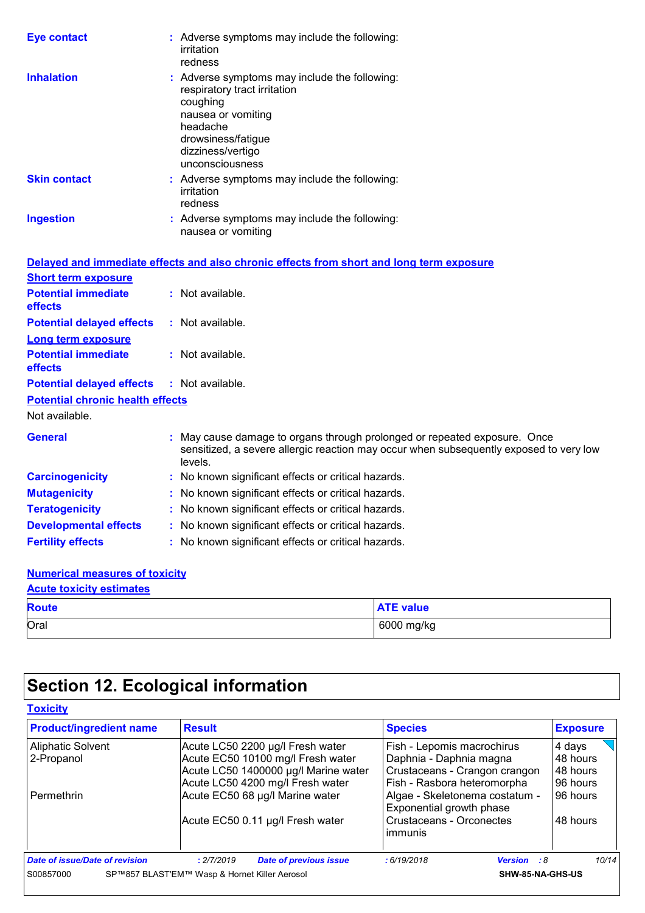| <b>Eye contact</b>                      | : Adverse symptoms may include the following:<br>irritation<br>redness                                                                                                                    |
|-----------------------------------------|-------------------------------------------------------------------------------------------------------------------------------------------------------------------------------------------|
| <b>Inhalation</b>                       | : Adverse symptoms may include the following:<br>respiratory tract irritation<br>coughing<br>nausea or vomiting<br>headache<br>drowsiness/fatigue<br>dizziness/vertigo<br>unconsciousness |
| <b>Skin contact</b>                     | : Adverse symptoms may include the following:<br>irritation<br>redness                                                                                                                    |
| <b>Ingestion</b>                        | : Adverse symptoms may include the following:<br>nausea or vomiting                                                                                                                       |
|                                         | Delayed and immediate effects and also chronic effects from short and long term exposure                                                                                                  |
| <b>Short term exposure</b>              |                                                                                                                                                                                           |
| <b>Potential immediate</b><br>effects   | : Not available.                                                                                                                                                                          |
| <b>Potential delayed effects</b>        | : Not available.                                                                                                                                                                          |
| <b>Long term exposure</b>               |                                                                                                                                                                                           |
| <b>Potential immediate</b><br>effects   | : Not available.                                                                                                                                                                          |
| <b>Potential delayed effects</b>        | : Not available.                                                                                                                                                                          |
| <b>Potential chronic health effects</b> |                                                                                                                                                                                           |
| Not available.                          |                                                                                                                                                                                           |
| <b>General</b>                          | : May cause damage to organs through prolonged or repeated exposure. Once<br>sensitized, a severe allergic reaction may occur when subsequently exposed to very low<br>levels.            |
| <b>Carcinogenicity</b>                  | : No known significant effects or critical hazards.                                                                                                                                       |
| <b>Mutagenicity</b>                     | : No known significant effects or critical hazards.                                                                                                                                       |
| <b>Teratogenicity</b>                   | : No known significant effects or critical hazards.                                                                                                                                       |

#### **Numerical measures of toxicity**

| <b>Acute toxicity estimates</b> |                  |  |  |  |  |
|---------------------------------|------------------|--|--|--|--|
| <b>Route</b>                    | <b>ATE</b> value |  |  |  |  |
| Oral                            | 6000 mg/kg       |  |  |  |  |

## **Section 12. Ecological information**

**Developmental effects :** No known significant effects or critical hazards. **Fertility effects :** No known significant effects or critical hazards.

| <b>Product/ingredient name</b>         | <b>Result</b>                                                                                                                                     | <b>Species</b>                                                                                                        | <b>Exposure</b>                            |
|----------------------------------------|---------------------------------------------------------------------------------------------------------------------------------------------------|-----------------------------------------------------------------------------------------------------------------------|--------------------------------------------|
| <b>Aliphatic Solvent</b><br>2-Propanol | Acute LC50 2200 µg/l Fresh water<br>Acute EC50 10100 mg/l Fresh water<br>Acute LC50 1400000 µg/l Marine water<br>Acute LC50 4200 mg/l Fresh water | Fish - Lepomis macrochirus<br>Daphnia - Daphnia magna<br>Crustaceans - Crangon crangon<br>Fish - Rasbora heteromorpha | 4 days<br>48 hours<br>48 hours<br>96 hours |
| Permethrin                             | Acute EC50 68 µg/l Marine water<br>Acute EC50 0.11 µg/l Fresh water                                                                               | Algae - Skeletonema costatum -<br>Exponential growth phase<br>Crustaceans - Orconectes<br>immunis                     | 96 hours<br>48 hours                       |
| Date of issue/Date of revision         | <b>Date of previous issue</b><br>: 2/7/2019                                                                                                       | :6/19/2018<br><b>Version</b> : 8                                                                                      | 10/14                                      |
| S00857000                              | SP™857 BLAST'EM™ Wasp & Hornet Killer Aerosol                                                                                                     | SHW-85-NA-GHS-US                                                                                                      |                                            |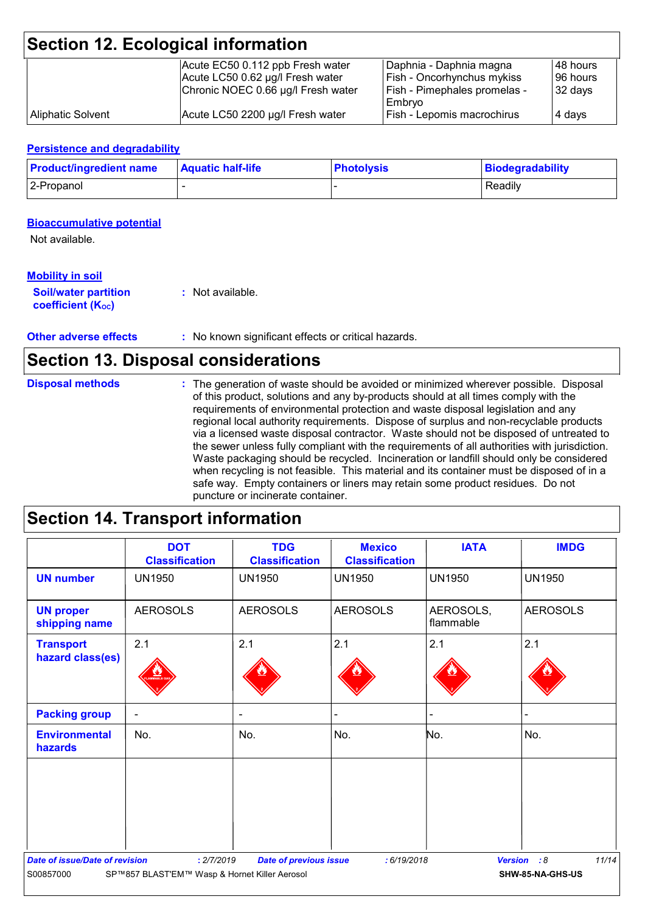|                   | <b>Section 12. Ecological information</b> |                                     |           |
|-------------------|-------------------------------------------|-------------------------------------|-----------|
|                   | Acute EC50 0.112 ppb Fresh water          | Daphnia - Daphnia magna             | 148 hours |
|                   | Acute LC50 0.62 µg/l Fresh water          | <b>Fish - Oncorhynchus mykiss</b>   | 196 hours |
|                   | Chronic NOEC 0.66 µg/l Fresh water        | <b>Fish - Pimephales promelas -</b> | 32 days   |
|                   |                                           | Embrvo                              |           |
| Aliphatic Solvent | Acute LC50 2200 µg/l Fresh water          | Fish - Lepomis macrochirus          | 4 days    |

#### **Persistence and degradability**

| <b>Product/ingredient name</b> | <b>Aquatic half-life</b> | <b>Photolysis</b> | Biodegradability |
|--------------------------------|--------------------------|-------------------|------------------|
| 2-Propanol                     |                          |                   | Readily          |

#### **Bioaccumulative potential**

Not available.

#### **Mobility in soil**

| <b>Soil/water partition</b> | : Not available. |
|-----------------------------|------------------|
| <b>coefficient (Koc)</b>    |                  |

#### **Other adverse effects** : No known significant effects or critical hazards.

### **Section 13. Disposal considerations**

#### The generation of waste should be avoided or minimized wherever possible. Disposal of this product, solutions and any by-products should at all times comply with the requirements of environmental protection and waste disposal legislation and any regional local authority requirements. Dispose of surplus and non-recyclable products via a licensed waste disposal contractor. Waste should not be disposed of untreated to the sewer unless fully compliant with the requirements of all authorities with jurisdiction. Waste packaging should be recycled. Incineration or landfill should only be considered when recycling is not feasible. This material and its container must be disposed of in a safe way. Empty containers or liners may retain some product residues. Do not puncture or incinerate container. **Disposal methods :**

### **Section 14. Transport information**

|                                                    | <b>DOT</b><br><b>Classification</b>                         | <b>TDG</b><br><b>Classification</b> | <b>Mexico</b><br><b>Classification</b> | <b>IATA</b>            | <b>IMDG</b>                     |
|----------------------------------------------------|-------------------------------------------------------------|-------------------------------------|----------------------------------------|------------------------|---------------------------------|
| <b>UN number</b>                                   | <b>UN1950</b>                                               | <b>UN1950</b>                       | <b>UN1950</b>                          | <b>UN1950</b>          | <b>UN1950</b>                   |
| <b>UN proper</b><br>shipping name                  | <b>AEROSOLS</b>                                             | <b>AEROSOLS</b>                     | <b>AEROSOLS</b>                        | AEROSOLS,<br>flammable | <b>AEROSOLS</b>                 |
| <b>Transport</b><br>hazard class(es)               | 2.1                                                         | 2.1                                 | 2.1                                    | 2.1                    | 2.1                             |
| <b>Packing group</b>                               | $\overline{\phantom{a}}$                                    | $\blacksquare$                      |                                        | L.                     |                                 |
| <b>Environmental</b><br>hazards                    | No.                                                         | No.                                 | No.                                    | No.                    | No.                             |
| <b>Date of issue/Date of revision</b><br>S00857000 | : 2/7/2019<br>SP™857 BLAST'EM™ Wasp & Hornet Killer Aerosol | <b>Date of previous issue</b>       | :6/19/2018                             | <b>Version</b>         | 11/14<br>:8<br>SHW-85-NA-GHS-US |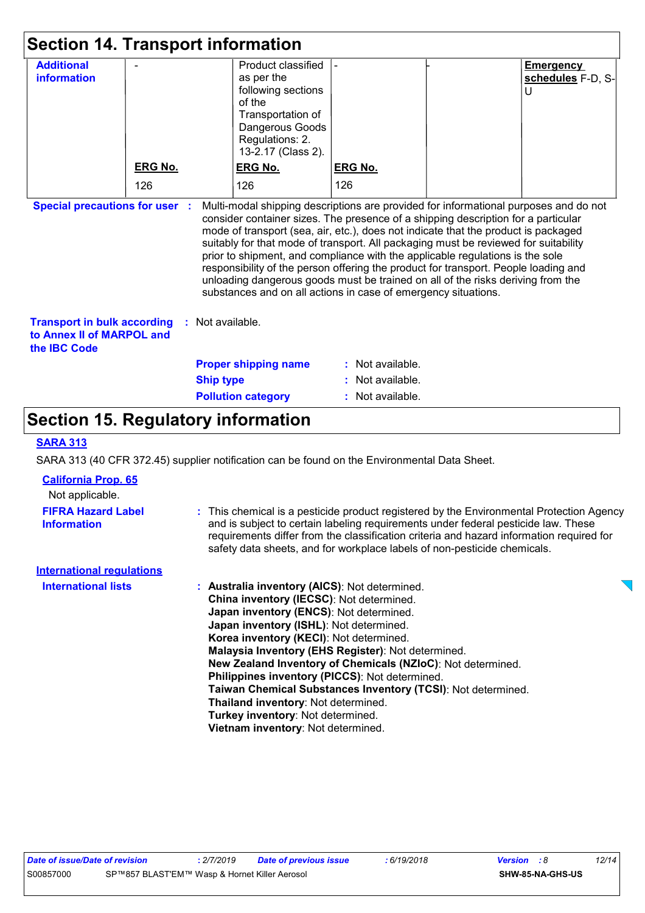| <b>Section 14. Transport information</b>                                                                                                                                                                                                                                                                                                                                                                                                                                                                                                                                                                                                                                                                                     |                |                  |                                                                                                                                                   |                  |  |                                            |
|------------------------------------------------------------------------------------------------------------------------------------------------------------------------------------------------------------------------------------------------------------------------------------------------------------------------------------------------------------------------------------------------------------------------------------------------------------------------------------------------------------------------------------------------------------------------------------------------------------------------------------------------------------------------------------------------------------------------------|----------------|------------------|---------------------------------------------------------------------------------------------------------------------------------------------------|------------------|--|--------------------------------------------|
| <b>Additional</b><br><b>information</b>                                                                                                                                                                                                                                                                                                                                                                                                                                                                                                                                                                                                                                                                                      |                |                  | Product classified<br>as per the<br>following sections<br>of the<br>Transportation of<br>Dangerous Goods<br>Regulations: 2.<br>13-2.17 (Class 2). |                  |  | <b>Emergency</b><br>schedules F-D, S-<br>U |
|                                                                                                                                                                                                                                                                                                                                                                                                                                                                                                                                                                                                                                                                                                                              | <b>ERG No.</b> |                  | <b>ERG No.</b>                                                                                                                                    | <b>ERG No.</b>   |  |                                            |
|                                                                                                                                                                                                                                                                                                                                                                                                                                                                                                                                                                                                                                                                                                                              | 126            |                  | 126                                                                                                                                               | 126              |  |                                            |
| <b>Special precautions for user :</b><br>Multi-modal shipping descriptions are provided for informational purposes and do not<br>consider container sizes. The presence of a shipping description for a particular<br>mode of transport (sea, air, etc.), does not indicate that the product is packaged<br>suitably for that mode of transport. All packaging must be reviewed for suitability<br>prior to shipment, and compliance with the applicable regulations is the sole<br>responsibility of the person offering the product for transport. People loading and<br>unloading dangerous goods must be trained on all of the risks deriving from the<br>substances and on all actions in case of emergency situations. |                |                  |                                                                                                                                                   |                  |  |                                            |
| <b>Transport in bulk according</b><br>to Annex II of MARPOL and<br>the <b>IBC</b> Code                                                                                                                                                                                                                                                                                                                                                                                                                                                                                                                                                                                                                                       |                | Not available.   |                                                                                                                                                   |                  |  |                                            |
|                                                                                                                                                                                                                                                                                                                                                                                                                                                                                                                                                                                                                                                                                                                              |                |                  | <b>Proper shipping name</b>                                                                                                                       | : Not available. |  |                                            |
|                                                                                                                                                                                                                                                                                                                                                                                                                                                                                                                                                                                                                                                                                                                              |                | <b>Ship type</b> |                                                                                                                                                   | Not available.   |  |                                            |
|                                                                                                                                                                                                                                                                                                                                                                                                                                                                                                                                                                                                                                                                                                                              |                |                  | <b>Pollution category</b>                                                                                                                         | Not available.   |  |                                            |

## **Section 15. Regulatory information**

#### **SARA 313**

SARA 313 (40 CFR 372.45) supplier notification can be found on the Environmental Data Sheet.

| <b>California Prop. 65</b><br>Not applicable. |                                                                                                                                                                                                                                                            |  |
|-----------------------------------------------|------------------------------------------------------------------------------------------------------------------------------------------------------------------------------------------------------------------------------------------------------------|--|
| <b>FIFRA Hazard Label</b>                     | : This chemical is a pesticide product registered by the Environmental Protection Agency                                                                                                                                                                   |  |
| <b>Information</b>                            | and is subject to certain labeling requirements under federal pesticide law. These<br>requirements differ from the classification criteria and hazard information required for<br>safety data sheets, and for workplace labels of non-pesticide chemicals. |  |
| <b>International requlations</b>              |                                                                                                                                                                                                                                                            |  |
| <b>International lists</b>                    | : Australia inventory (AICS): Not determined.                                                                                                                                                                                                              |  |
|                                               | China inventory (IECSC): Not determined.                                                                                                                                                                                                                   |  |
|                                               | Japan inventory (ENCS): Not determined.                                                                                                                                                                                                                    |  |
|                                               | Japan inventory (ISHL): Not determined.                                                                                                                                                                                                                    |  |
|                                               | Korea inventory (KECI): Not determined.                                                                                                                                                                                                                    |  |
|                                               | Malaysia Inventory (EHS Register): Not determined.                                                                                                                                                                                                         |  |
|                                               | New Zealand Inventory of Chemicals (NZIoC): Not determined.                                                                                                                                                                                                |  |
|                                               | <b>Philippines inventory (PICCS): Not determined.</b>                                                                                                                                                                                                      |  |
|                                               | Taiwan Chemical Substances Inventory (TCSI): Not determined.                                                                                                                                                                                               |  |
|                                               | Thailand inventory: Not determined.                                                                                                                                                                                                                        |  |
|                                               | <b>Turkey inventory: Not determined.</b>                                                                                                                                                                                                                   |  |
|                                               | <b>Vietnam inventory:</b> Not determined.                                                                                                                                                                                                                  |  |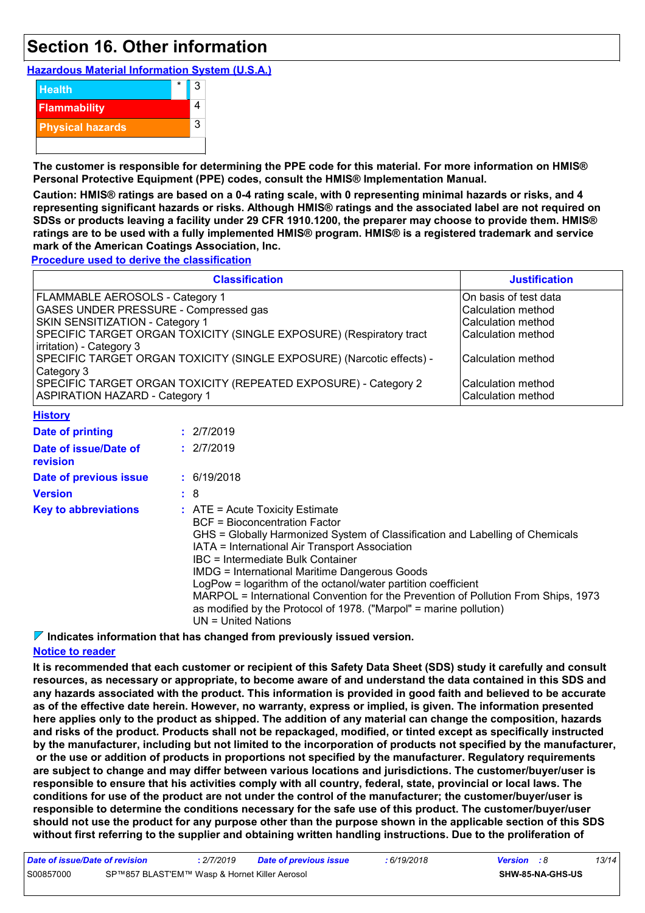## **Section 16. Other information**

**Hazardous Material Information System (U.S.A.)**



**The customer is responsible for determining the PPE code for this material. For more information on HMIS® Personal Protective Equipment (PPE) codes, consult the HMIS® Implementation Manual.**

**Caution: HMIS® ratings are based on a 0-4 rating scale, with 0 representing minimal hazards or risks, and 4 representing significant hazards or risks. Although HMIS® ratings and the associated label are not required on SDSs or products leaving a facility under 29 CFR 1910.1200, the preparer may choose to provide them. HMIS® ratings are to be used with a fully implemented HMIS® program. HMIS® is a registered trademark and service mark of the American Coatings Association, Inc.**

**Procedure used to derive the classification**

| <b>Classification</b>                                                 | <b>Justification</b>  |
|-----------------------------------------------------------------------|-----------------------|
| <b>FLAMMABLE AEROSOLS - Category 1</b>                                | On basis of test data |
| <b>GASES UNDER PRESSURE - Compressed gas</b>                          | Calculation method    |
| <b>SKIN SENSITIZATION - Category 1</b>                                | Calculation method    |
| SPECIFIC TARGET ORGAN TOXICITY (SINGLE EXPOSURE) (Respiratory tract   | Calculation method    |
| irritation) - Category 3                                              |                       |
| SPECIFIC TARGET ORGAN TOXICITY (SINGLE EXPOSURE) (Narcotic effects) - | Calculation method    |
| Category 3                                                            |                       |
| SPECIFIC TARGET ORGAN TOXICITY (REPEATED EXPOSURE) - Category 2       | Calculation method    |
| <b>ASPIRATION HAZARD - Category 1</b>                                 | Calculation method    |
| $1111 - 411 - 111$                                                    |                       |

| <u> FIBIOLA</u>                   |                                                                                                                                                                                                                                                                                                                                                                                                                                                                                                                                                                          |
|-----------------------------------|--------------------------------------------------------------------------------------------------------------------------------------------------------------------------------------------------------------------------------------------------------------------------------------------------------------------------------------------------------------------------------------------------------------------------------------------------------------------------------------------------------------------------------------------------------------------------|
| Date of printing                  | : 2/7/2019                                                                                                                                                                                                                                                                                                                                                                                                                                                                                                                                                               |
| Date of issue/Date of<br>revision | : 2/7/2019                                                                                                                                                                                                                                                                                                                                                                                                                                                                                                                                                               |
| Date of previous issue            | : 6/19/2018                                                                                                                                                                                                                                                                                                                                                                                                                                                                                                                                                              |
| <b>Version</b>                    | :8                                                                                                                                                                                                                                                                                                                                                                                                                                                                                                                                                                       |
| <b>Key to abbreviations</b>       | $\therefore$ ATE = Acute Toxicity Estimate<br><b>BCF</b> = Bioconcentration Factor<br>GHS = Globally Harmonized System of Classification and Labelling of Chemicals<br>IATA = International Air Transport Association<br>IBC = Intermediate Bulk Container<br><b>IMDG = International Maritime Dangerous Goods</b><br>LogPow = logarithm of the octanol/water partition coefficient<br>MARPOL = International Convention for the Prevention of Pollution From Ships, 1973<br>as modified by the Protocol of 1978. ("Marpol" = marine pollution)<br>$UN = United Nations$ |

**Indicates information that has changed from previously issued version.**

#### **Notice to reader**

**It is recommended that each customer or recipient of this Safety Data Sheet (SDS) study it carefully and consult resources, as necessary or appropriate, to become aware of and understand the data contained in this SDS and any hazards associated with the product. This information is provided in good faith and believed to be accurate as of the effective date herein. However, no warranty, express or implied, is given. The information presented here applies only to the product as shipped. The addition of any material can change the composition, hazards and risks of the product. Products shall not be repackaged, modified, or tinted except as specifically instructed by the manufacturer, including but not limited to the incorporation of products not specified by the manufacturer, or the use or addition of products in proportions not specified by the manufacturer. Regulatory requirements are subject to change and may differ between various locations and jurisdictions. The customer/buyer/user is responsible to ensure that his activities comply with all country, federal, state, provincial or local laws. The conditions for use of the product are not under the control of the manufacturer; the customer/buyer/user is responsible to determine the conditions necessary for the safe use of this product. The customer/buyer/user should not use the product for any purpose other than the purpose shown in the applicable section of this SDS without first referring to the supplier and obtaining written handling instructions. Due to the proliferation of**